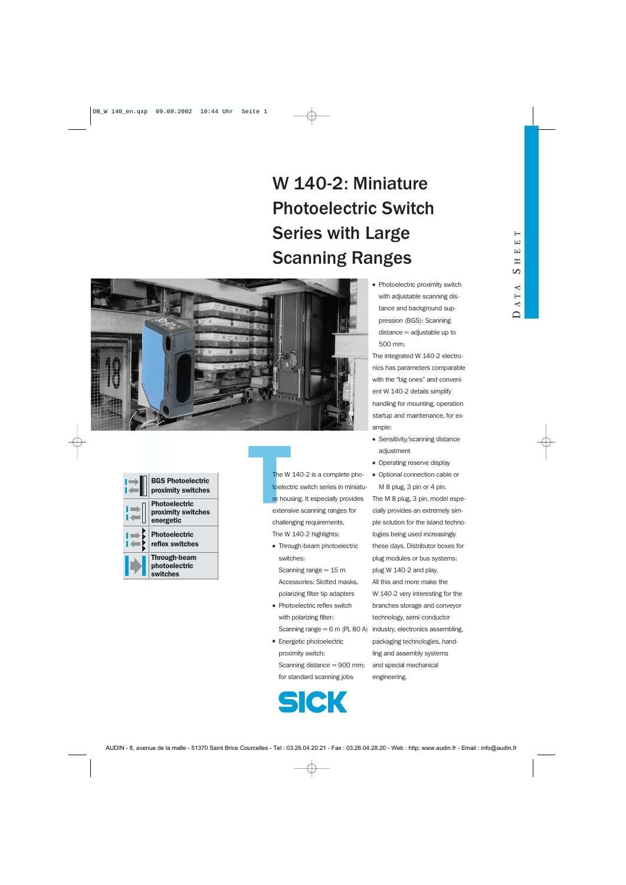# W 140-2: Miniature Photoelectric Switch Series with Large Scanning Ranges



| <b>BGS Photoelectric</b><br>proximity switches          |
|---------------------------------------------------------|
| <b>Photoelectric</b><br>proximity switches<br>energetic |
| <b>Photoelectric</b><br>reflex switches                 |
| Through-beam<br>photoelectric<br>switches               |

The W<br>toelect<br>re hou:<br>extens The W 140-2 is a complete photoelectric switch series in miniature housing. It especially provides extensive scanning ranges for challenging requirements. The W 140-2 highlights:

- Through-beam photoelectric switches: Scanning range  $= 15$  m Accessories: Slotted masks, polarizing filter tip adapters
- Photoelectric reflex switch with polarizing filter: Scanning range  $= 6$  m (PL 80 A)
- Energetic photoelectric proximity switch: Scanning distance = 900 mm; for standard scanning jobs



■ Photoelectric proximity switch with adjustable scanning distance and background suppression (BGS): Scanning  $distance = adjustable up to$ 500 mm.

The integrated W 140-2 electronics has parameters comparable with the "big ones" and convenient W 140-2 details simplify handling for mounting, operation startup and maintenance, for example:

- Sensitivity/scanning distance adjustment
- Operating reserve display
- Optional connection cable or M 8 plug, 3 pin or 4 pin.

The M 8 plug, 3 pin, model especially provides an extremely simple solution for the island technologies being used increasingly these days. Distributor boxes for plug modules or bus systems: plug W 140-2 and play. All this and more make the W 140-2 very interesting for the branches storage and conveyor technology, semi-conductor industry, electronics assembling, packaging technologies, handling and assembly systems and special mechanical engineering.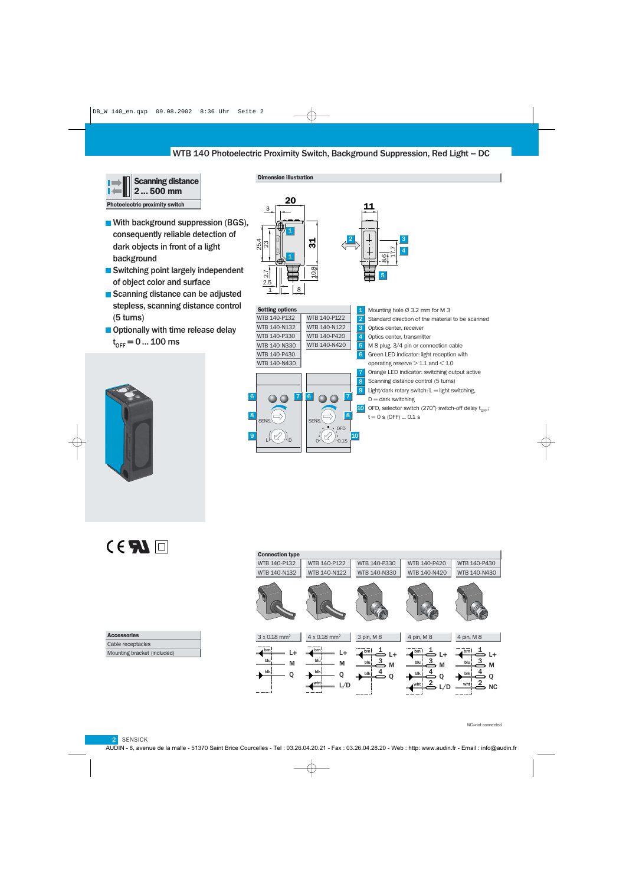## WTB 140 Photoelectric Proximity Switch, Background Suppression, Red Light – DC

2



- **With background suppression (BGS),** consequently reliable detection of dark objects in front of a light background
- Switching point largely independent of object color and surface
- Scanning distance can be adjusted stepless, scanning distance control (5 turns)
- Optionally with time release delay t<sub>oFF</sub> = 0 ... 100 ms





Dimension illustration

|   | <b>Setting options</b> |                   |                 | ŗ      |
|---|------------------------|-------------------|-----------------|--------|
|   | WTB 140-P132           | WTB 140-P122      |                 | í      |
|   | WTB 140-N132           | WTB 140-N122      |                 | í      |
|   | WTB 140-P330           | WTB 140-P420      |                 | Z      |
|   | WTB 140-N330           | WTB 140-N420      |                 | Į      |
|   | WTB 140-P430           |                   |                 |        |
|   | WTB 140-N430           |                   |                 |        |
|   |                        |                   |                 | ł<br>ś |
| 6 |                        | 6                 |                 | 1      |
| 8 | <b>SENS</b>            | 8<br><b>SENS</b>  |                 |        |
| 9 |                        | <b>OFD</b><br>21S | 10 <sub>1</sub> |        |
|   |                        |                   |                 |        |

| 1              | Mounting hole $\varnothing$ 3.2 mm for M 3                      |
|----------------|-----------------------------------------------------------------|
| $\overline{2}$ | Standard direction of the material to be scanned                |
| 3              | Optics center, receiver                                         |
| $\overline{4}$ | Optics center, transmitter                                      |
| $5\phantom{1}$ | M 8 plug, 3/4 pin or connection cable                           |
| 6              | Green LED indicator: light reception with                       |
|                | operating reserve $> 1.1$ and $< 1.0$                           |
| 7              | Orange LED indicator: switching output active                   |
| 8              | Scanning distance control (5 turns)                             |
| 9              | Light/dark rotary switch: $L =$ light switching,                |
|                | $D =$ dark switching                                            |
| 10             | OFD, selector switch (270°) switch-off delay $t_{\text{off}}$ ; |
|                | $t = 0$ s (OFF)  0.1 s                                          |
|                |                                                                 |
|                |                                                                 |

17.7

ග<br>ග

5

3 4

 $C \in \mathbb{R}$ 

| <b>Accessories</b>          |  |
|-----------------------------|--|
| Cable receptacles           |  |
| Mounting bracket (included) |  |

| <b>Connection type</b>                      |                                                      |                                               |                                                                |                                                               |
|---------------------------------------------|------------------------------------------------------|-----------------------------------------------|----------------------------------------------------------------|---------------------------------------------------------------|
| WTB 140-P132                                | WTB 140-P122                                         | WTB 140-P330                                  | WTB 140-P420                                                   | WTB 140-P430                                                  |
| WTB 140-N132                                | WTB 140-N122                                         | WTB 140-N330                                  | WTB 140-N420                                                   | WTB 140-N430                                                  |
|                                             |                                                      |                                               |                                                                |                                                               |
| $3 \times 0.18$ mm <sup>2</sup>             | $4 \times 0.18$ mm <sup>2</sup>                      | 3 pin, M 8                                    | 4 pin, M 8                                                     | 4 pin, M 8                                                    |
| ∎ brn !<br>L+<br>$blu$ :<br>M<br>blk i<br>Q | brn!<br>L+<br>blu:<br>М<br>blk i<br>ი<br>whtl<br>L/D | brn!<br>L+<br>З<br>$blu$ :<br>M<br>blk j<br>0 | brn!<br>L+<br>3<br>blu:<br>M<br>blk j<br>Ο<br>2<br>whtl<br>L/D | brn!<br>L+<br>3<br>blu:<br>M<br>blk<br>O<br>whtl<br><b>NC</b> |

NC=not connected

2 SENSICK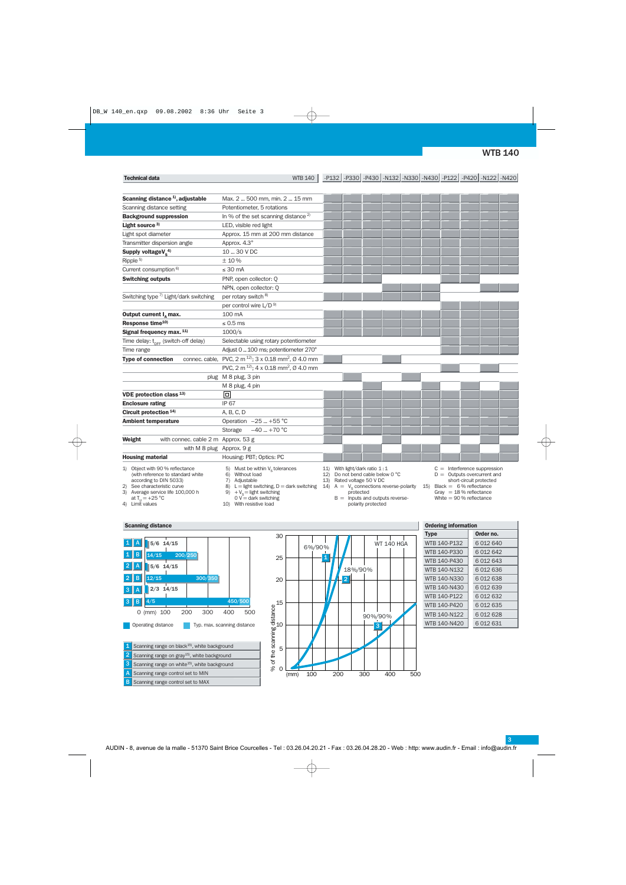## WTB 140

**Technical data** 

2 1

 $\overline{3}$ 

 $\overline{B}$  4/5

WTB 140 | -P132 | -P330 | -P430 | -N132 | -N330 | -N430 | -P122 | -P420 | -N122 | -N420 |

| Scanning distance <sup>1</sup> , adjustable                                                                                                                                                                         | Max. 2  500 mm, min. 2  15 mm                                                                                                                                                                               |                                                                                                                                                                                                                               |                                                                                                                                                                                        |
|---------------------------------------------------------------------------------------------------------------------------------------------------------------------------------------------------------------------|-------------------------------------------------------------------------------------------------------------------------------------------------------------------------------------------------------------|-------------------------------------------------------------------------------------------------------------------------------------------------------------------------------------------------------------------------------|----------------------------------------------------------------------------------------------------------------------------------------------------------------------------------------|
| Scanning distance setting                                                                                                                                                                                           | Potentiometer, 5 rotations                                                                                                                                                                                  |                                                                                                                                                                                                                               |                                                                                                                                                                                        |
| <b>Background suppression</b>                                                                                                                                                                                       | In % of the set scanning distance <sup>2)</sup>                                                                                                                                                             |                                                                                                                                                                                                                               |                                                                                                                                                                                        |
| Light source <sup>3)</sup>                                                                                                                                                                                          | LED, visible red light                                                                                                                                                                                      |                                                                                                                                                                                                                               |                                                                                                                                                                                        |
| Light spot diameter                                                                                                                                                                                                 | Approx. 15 mm at 200 mm distance                                                                                                                                                                            |                                                                                                                                                                                                                               |                                                                                                                                                                                        |
| Transmitter dispersion angle                                                                                                                                                                                        | Approx. 4.3°                                                                                                                                                                                                |                                                                                                                                                                                                                               |                                                                                                                                                                                        |
| Supply voltage $V_s^{4}$                                                                                                                                                                                            | 10  30 V DC                                                                                                                                                                                                 |                                                                                                                                                                                                                               |                                                                                                                                                                                        |
| Ripple <sup>5)</sup>                                                                                                                                                                                                | ±10%                                                                                                                                                                                                        |                                                                                                                                                                                                                               |                                                                                                                                                                                        |
| Current consumption <sup>6)</sup>                                                                                                                                                                                   | $\leq 30$ mA                                                                                                                                                                                                |                                                                                                                                                                                                                               |                                                                                                                                                                                        |
| <b>Switching outputs</b>                                                                                                                                                                                            | PNP, open collector: Q                                                                                                                                                                                      |                                                                                                                                                                                                                               |                                                                                                                                                                                        |
|                                                                                                                                                                                                                     | NPN, open collector: Q                                                                                                                                                                                      |                                                                                                                                                                                                                               |                                                                                                                                                                                        |
| Switching type 7) Light/dark switching                                                                                                                                                                              | per rotary switch 8)                                                                                                                                                                                        |                                                                                                                                                                                                                               |                                                                                                                                                                                        |
|                                                                                                                                                                                                                     | per control wire L/D <sup>9)</sup>                                                                                                                                                                          |                                                                                                                                                                                                                               |                                                                                                                                                                                        |
| Output current $I_{\text{A}}$ max.                                                                                                                                                                                  | 100 mA                                                                                                                                                                                                      |                                                                                                                                                                                                                               |                                                                                                                                                                                        |
| Response time <sup>10)</sup>                                                                                                                                                                                        | $\leq 0.5$ ms                                                                                                                                                                                               |                                                                                                                                                                                                                               |                                                                                                                                                                                        |
| Signal frequency max. 11)                                                                                                                                                                                           | 1000/s                                                                                                                                                                                                      |                                                                                                                                                                                                                               |                                                                                                                                                                                        |
| Time delay: t <sub>OFF</sub> (switch-off delay)                                                                                                                                                                     | Selectable using rotary potentiometer                                                                                                                                                                       |                                                                                                                                                                                                                               |                                                                                                                                                                                        |
| Time range                                                                                                                                                                                                          | Adjust 0  100 ms; potentiometer 270°                                                                                                                                                                        |                                                                                                                                                                                                                               |                                                                                                                                                                                        |
| <b>Type of connection</b>                                                                                                                                                                                           | connec. cable, PVC, 2 m <sup>12)</sup> ; 3 x 0.18 mm <sup>2</sup> , $\emptyset$ 4.0 mm                                                                                                                      |                                                                                                                                                                                                                               |                                                                                                                                                                                        |
|                                                                                                                                                                                                                     | PVC, 2 m <sup>12)</sup> ; 4 x 0.18 mm <sup>2</sup> , Ø 4.0 mm                                                                                                                                               |                                                                                                                                                                                                                               |                                                                                                                                                                                        |
|                                                                                                                                                                                                                     | plug M 8 plug, 3 pin                                                                                                                                                                                        |                                                                                                                                                                                                                               |                                                                                                                                                                                        |
|                                                                                                                                                                                                                     | M 8 plug, 4 pin                                                                                                                                                                                             |                                                                                                                                                                                                                               |                                                                                                                                                                                        |
| VDE protection class 13)                                                                                                                                                                                            | $\Box$                                                                                                                                                                                                      |                                                                                                                                                                                                                               |                                                                                                                                                                                        |
| <b>Enclosure rating</b>                                                                                                                                                                                             | <b>IP 67</b>                                                                                                                                                                                                |                                                                                                                                                                                                                               |                                                                                                                                                                                        |
| Circuit protection 14)                                                                                                                                                                                              | A, B, C, D                                                                                                                                                                                                  |                                                                                                                                                                                                                               |                                                                                                                                                                                        |
| <b>Ambient temperature</b>                                                                                                                                                                                          | Operation $-25$ +55 °C                                                                                                                                                                                      |                                                                                                                                                                                                                               |                                                                                                                                                                                        |
|                                                                                                                                                                                                                     | $-40$ +70 °C<br>Storage                                                                                                                                                                                     |                                                                                                                                                                                                                               |                                                                                                                                                                                        |
| Weight<br>with connec. cable 2 m Approx. 53 g                                                                                                                                                                       |                                                                                                                                                                                                             |                                                                                                                                                                                                                               |                                                                                                                                                                                        |
| with M 8 plug Approx. 9 g                                                                                                                                                                                           |                                                                                                                                                                                                             |                                                                                                                                                                                                                               |                                                                                                                                                                                        |
| <b>Housing material</b>                                                                                                                                                                                             | Housing: PBT; Optics: PC                                                                                                                                                                                    |                                                                                                                                                                                                                               |                                                                                                                                                                                        |
| 1) Object with 90 % reflectance<br>(with reference to standard white<br>according to DIN 5033)<br>See characteristic curve<br>2)<br>3) Average service life 100,000 h<br>at $T_{\rm H}$ = +25 °C<br>4) Limit values | 5) Must be within $V_s$ tolerances<br>6) Without load<br>7) Adjustable<br>8) L = light switching, $D =$ dark switching<br>9) + $V_s$ = light switching<br>$0 V =$ dark switching<br>10) With resistive load | With light/dark ratio 1:1<br>11)<br>Do not bend cable below 0 °C<br>12)<br>Rated voltage 50 V DC<br>13)<br>14) $A = V_s$ connections reverse-polarity<br>protected<br>$B =$ Inputs and outputs reverse-<br>polarity protected | $C =$ Interference suppression<br>$D =$ Outputs overcurrent and<br>short-circuit protected<br>15) Black = $6\%$ reflectance<br>Gray = $18\%$ reflectance<br>White $= 90 %$ reflectance |
| <b>Scanning distance</b>                                                                                                                                                                                            |                                                                                                                                                                                                             |                                                                                                                                                                                                                               | <b>Ordering information</b>                                                                                                                                                            |
|                                                                                                                                                                                                                     | 30                                                                                                                                                                                                          |                                                                                                                                                                                                                               | <b>Type</b><br>Order no.                                                                                                                                                               |
| $1$ $A$<br>$5/6$ 14/15                                                                                                                                                                                              | 6%/90%                                                                                                                                                                                                      | <b>WT 140 HGA</b>                                                                                                                                                                                                             | WTB 140-P132<br>6012640                                                                                                                                                                |
| 14/15<br>200/250<br>$1$   B                                                                                                                                                                                         | 25                                                                                                                                                                                                          | $\mathbf{1}$                                                                                                                                                                                                                  | WTB 140-P330<br>6 0 12 6 42                                                                                                                                                            |
| 2 A<br>$5/6$ 14/15                                                                                                                                                                                                  |                                                                                                                                                                                                             |                                                                                                                                                                                                                               | WTB 140-P430<br>6 0 12 6 43                                                                                                                                                            |
|                                                                                                                                                                                                                     |                                                                                                                                                                                                             | 18%/90%                                                                                                                                                                                                                       | WTB 140-N132<br>6 0 12 6 36                                                                                                                                                            |
| 12/15<br>2B<br>300/350                                                                                                                                                                                              | 20                                                                                                                                                                                                          | $\overline{2}$                                                                                                                                                                                                                | WTB 140-N330<br>6 0 12 6 38                                                                                                                                                            |
| 2/3 14/15<br>$3$ $A$                                                                                                                                                                                                |                                                                                                                                                                                                             |                                                                                                                                                                                                                               | WTB 140-N430<br>6 0 12 6 39                                                                                                                                                            |



| Type         | Order no. |
|--------------|-----------|
| WTB 140-P132 | 6012640   |
| WTB 140-P330 | 6012642   |
| WTB 140-P430 | 6012643   |
| WTB 140-N132 | 6012636   |
| WTB 140-N330 | 6012638   |
| WTB 140-N430 | 6012639   |
| WTB 140-P122 | 6012632   |
| WTB 140-P420 | 6012635   |
| WTB 140-N122 | 6012628   |
| WTB 140-N420 | 6012631   |
|              |           |

AUDIN - 8, avenue de la malle - 51370 Saint Brice Courcelles - Tel : 03.26.04.20.21 - Fax : 03.26.04.28.20 - Web : http: www.audin.fr - Email : info@audin.fr

3

90%/90%

3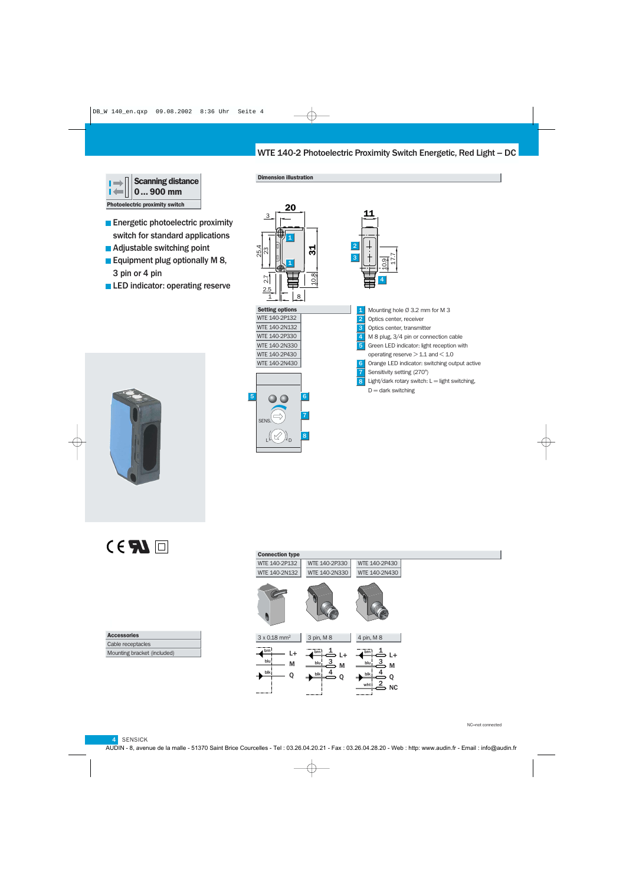## WTE 140-2 Photoelectric Proximity Switch Energetic, Red Light – DC

| Photoelectric proximity switch |
|--------------------------------|

- **Energetic photoelectric proximity** switch for standard applications
- Adjustable switching point
- Equipment plug optionally M  $8$ , 3 pin or 4 pin
- **LED** indicator: operating reserve





 $C \in \mathbf{F}$ 

| <b>Accessories</b>          |
|-----------------------------|
| Cable receptacles           |
| Mounting bracket (included) |

| <b>Connection type</b>                  |                                               |                                                                    |  |
|-----------------------------------------|-----------------------------------------------|--------------------------------------------------------------------|--|
| WTE 140-2P132                           | WTE 140-2P330                                 | WTE 140-2P430                                                      |  |
| WTE 140-2N132                           | WTE 140-2N330                                 | WTE 140-2N430                                                      |  |
|                                         |                                               |                                                                    |  |
| $3 \times 0.18$ mm <sup>2</sup>         | 3 pin, M 8                                    | 4 pin, M 8                                                         |  |
| brn!<br>L+<br>$blu$ :<br>M<br>blki<br>Q | brn!<br>L+<br>3<br>blu:<br>M<br>4<br>blk<br>Q | brn!<br>L+<br>3<br>$blu$ :<br>M<br>blk j<br>Q<br>whtl<br><b>NC</b> |  |

NC=not connected

4 SENSICK

AUDIN - 8, avenue de la malle - 51370 Saint Brice Courcelles - Tel : 03.26.04.20.21 - Fax : 03.26.04.28.20 - Web : http: www.audin.fr - Email : info@audin.fr

L<sup>y</sup>\P

8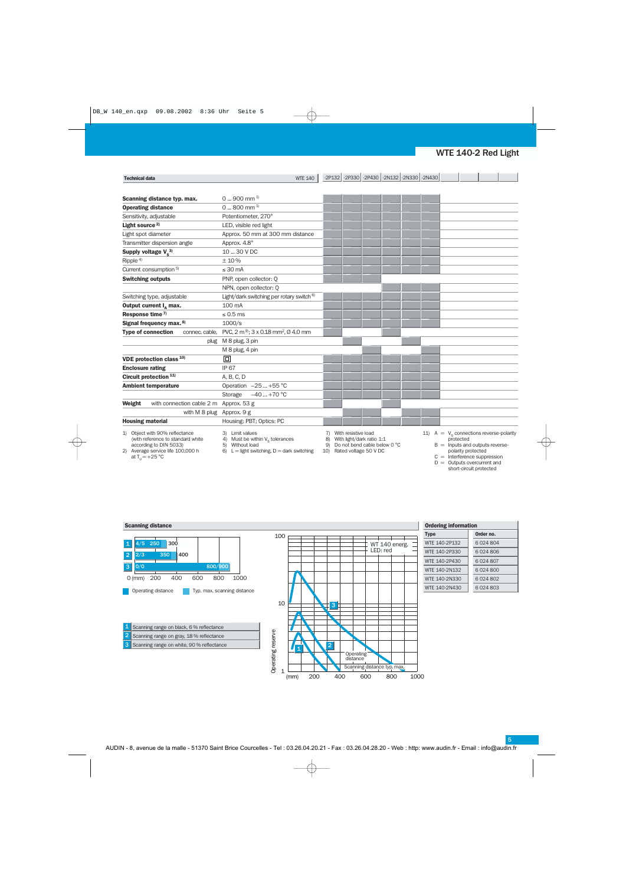## WTE 140-2 Red Light

| <b>Technical data</b>                                                                                                                                      |                                        | <b>WTE 140</b>                                                                                                           |                                             | -2P132 -2P330 -2P430 -2N132 -2N330 -2N430                                        |  |  |                                 |                                                                                                                   |  |
|------------------------------------------------------------------------------------------------------------------------------------------------------------|----------------------------------------|--------------------------------------------------------------------------------------------------------------------------|---------------------------------------------|----------------------------------------------------------------------------------|--|--|---------------------------------|-------------------------------------------------------------------------------------------------------------------|--|
|                                                                                                                                                            |                                        |                                                                                                                          |                                             |                                                                                  |  |  |                                 |                                                                                                                   |  |
| Scanning distance typ. max.                                                                                                                                |                                        | 0  900 mm $^{1}$                                                                                                         |                                             |                                                                                  |  |  |                                 |                                                                                                                   |  |
| <b>Operating distance</b>                                                                                                                                  |                                        | 0  800 mm $^{1}$                                                                                                         |                                             |                                                                                  |  |  |                                 |                                                                                                                   |  |
| Sensitivity, adjustable                                                                                                                                    |                                        | Potentiometer, 270°                                                                                                      |                                             |                                                                                  |  |  |                                 |                                                                                                                   |  |
| Light source <sup>2)</sup>                                                                                                                                 |                                        | LED, visible red light                                                                                                   |                                             |                                                                                  |  |  |                                 |                                                                                                                   |  |
| Light spot diameter                                                                                                                                        |                                        | Approx. 50 mm at 300 mm distance                                                                                         |                                             |                                                                                  |  |  |                                 |                                                                                                                   |  |
| Transmitter dispersion angle                                                                                                                               |                                        | Approx. 4.8°                                                                                                             |                                             |                                                                                  |  |  |                                 |                                                                                                                   |  |
| Supply voltage $V_s^{3}$                                                                                                                                   |                                        | 10  30 V DC                                                                                                              |                                             |                                                                                  |  |  |                                 |                                                                                                                   |  |
| Ripple <sup>4)</sup>                                                                                                                                       |                                        | ±10%                                                                                                                     |                                             |                                                                                  |  |  |                                 |                                                                                                                   |  |
| Current consumption <sup>5)</sup>                                                                                                                          |                                        | $\leq 30$ mA                                                                                                             |                                             |                                                                                  |  |  |                                 |                                                                                                                   |  |
| <b>Switching outputs</b>                                                                                                                                   |                                        | PNP, open collector: Q                                                                                                   |                                             |                                                                                  |  |  |                                 |                                                                                                                   |  |
|                                                                                                                                                            |                                        | NPN, open collector: Q                                                                                                   |                                             |                                                                                  |  |  |                                 |                                                                                                                   |  |
| Switching type, adjustable                                                                                                                                 |                                        | Light/dark switching per rotary switch 6)                                                                                |                                             |                                                                                  |  |  |                                 |                                                                                                                   |  |
| Output current I <sub>a</sub> max.                                                                                                                         |                                        | 100 mA                                                                                                                   |                                             |                                                                                  |  |  |                                 |                                                                                                                   |  |
| Response time <sup>7)</sup>                                                                                                                                |                                        | $\leq 0.5$ ms                                                                                                            |                                             |                                                                                  |  |  |                                 |                                                                                                                   |  |
| Signal frequency max. 8)                                                                                                                                   |                                        | 1000/s                                                                                                                   |                                             |                                                                                  |  |  |                                 |                                                                                                                   |  |
| <b>Type of connection</b>                                                                                                                                  | connec. cable,                         | PVC, 2 m <sup>9</sup> ; 3 x 0.18 mm <sup>2</sup> , $\varnothing$ 4.0 mm                                                  |                                             |                                                                                  |  |  |                                 |                                                                                                                   |  |
|                                                                                                                                                            |                                        | plug M 8 plug, 3 pin                                                                                                     |                                             |                                                                                  |  |  |                                 |                                                                                                                   |  |
|                                                                                                                                                            |                                        | M 8 plug, 4 pin                                                                                                          |                                             |                                                                                  |  |  |                                 |                                                                                                                   |  |
| VDE protection class 10)                                                                                                                                   |                                        | 冋                                                                                                                        |                                             |                                                                                  |  |  |                                 |                                                                                                                   |  |
| <b>Enclosure rating</b>                                                                                                                                    |                                        | <b>IP 67</b>                                                                                                             |                                             |                                                                                  |  |  |                                 |                                                                                                                   |  |
| Circuit protection <sup>11)</sup>                                                                                                                          |                                        | A, B, C, D                                                                                                               |                                             |                                                                                  |  |  |                                 |                                                                                                                   |  |
| <b>Ambient temperature</b>                                                                                                                                 |                                        | Operation -25+55 °C                                                                                                      |                                             |                                                                                  |  |  |                                 |                                                                                                                   |  |
|                                                                                                                                                            |                                        | $-40+70$ °C<br>Storage                                                                                                   |                                             |                                                                                  |  |  |                                 |                                                                                                                   |  |
| Weight                                                                                                                                                     | with connection cable 2 m Approx. 53 g |                                                                                                                          |                                             |                                                                                  |  |  |                                 |                                                                                                                   |  |
|                                                                                                                                                            | with M 8 plug Approx. 9 g              |                                                                                                                          |                                             |                                                                                  |  |  |                                 |                                                                                                                   |  |
| <b>Housing material</b>                                                                                                                                    |                                        | Housing: PBT; Optics: PC                                                                                                 |                                             |                                                                                  |  |  |                                 |                                                                                                                   |  |
| 1) Object with 90% reflectance<br>(with reference to standard white<br>according to DIN 5033)<br>2) Average service life 100,000 h<br>at $T_{11} = +25 °C$ |                                        | 3) Limit values<br>4) Must be within $V_c$ tolerances<br>5) Without load<br>6) L = light switching, $D =$ dark switching | 7)<br>8)<br>9)<br>10) Rated voltage 50 V DC | With resistive load<br>With light/dark ratio 1:1<br>Do not bend cable below 0 °C |  |  | protected<br>polarity protected | 11) $A = V_c$ connections reverse-polarity<br>$B =$ Inputs and outputs reverse-<br>$C =$ Interference suppression |  |

 $D =$  Outputs overcurrent and short-circuit protected



AUDIN - 8, avenue de la malle - 51370 Saint Brice Courcelles - Tel : 03.26.04.20.21 - Fax : 03.26.04.28.20 - Web : http: www.audin.fr - Email : info@audin.fr

5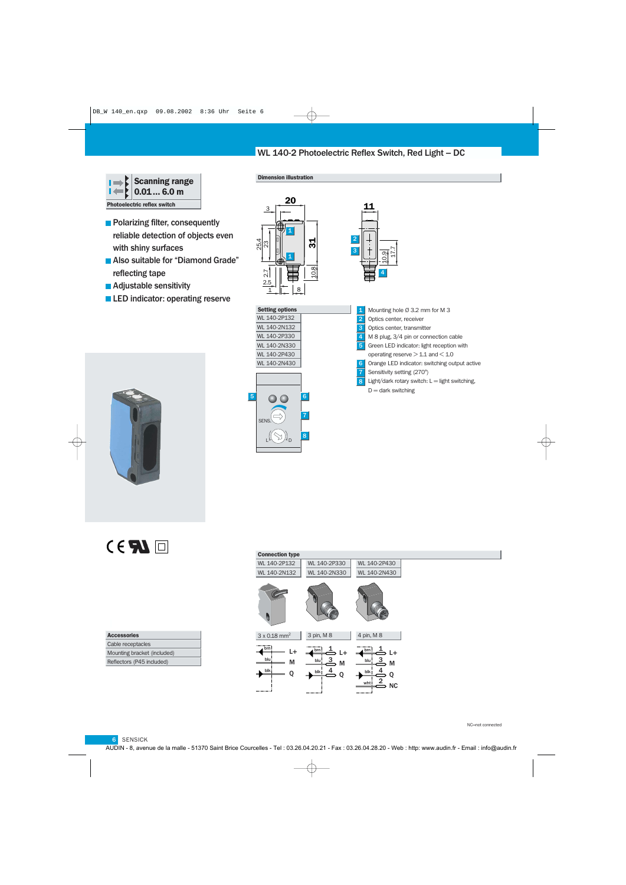## WL 140-2 Photoelectric Reflex Switch, Red Light – DC

2 3



- **Polarizing filter, consequently** reliable detection of objects even with shiny surfaces
- Also suitable for "Diamond Grade" reflecting tape
- **Adjustable sensitivity**
- **LED** indicator: operating reserve



20

Dimension illustration





L<sup>y</sup>\ ク/\*D

8

| 1              | Mounting hole $\varnothing$ 3.2 mm for M 3       |
|----------------|--------------------------------------------------|
| $\overline{2}$ | Optics center, receiver                          |
| 3              | Optics center, transmitter                       |
| 4              | M 8 plug, 3/4 pin or connection cable            |
| 5              | Green LED indicator: light reception with        |
|                | operating reserve $> 1.1$ and $< 1.0$            |
| 6              | Orange LED indicator: switching output active    |
| 7              | Sensitivity setting (270°)                       |
| 8              | Light/dark rotary switch: $L =$ light switching, |
|                | $D =$ dark switching                             |

17.7

اړه

4

 $C \in \mathbf{N}$ 

| <b>Accessories</b>          |
|-----------------------------|
| Cable receptacles           |
| Mounting bracket (included) |
| Reflectors (P45 included)   |

| <b>Connection type</b>               |                                                           |                                                         |
|--------------------------------------|-----------------------------------------------------------|---------------------------------------------------------|
| WL 140-2P132                         | WL 140-2P330                                              | WL 140-2P430                                            |
| WL 140-2N132                         | WL 140-2N330                                              | WL 140-2N430                                            |
| 0                                    |                                                           | ag                                                      |
| $3 \times 0.18$ mm <sup>2</sup>      | 3 pin, M 8                                                | 4 pin, M 8                                              |
| brn!<br>L+<br>blu<br>M<br>blk j<br>Q | brn<br>L+<br>$\overline{3}$<br>blu:<br>M<br>4<br>blk<br>Q | brn!<br>L+<br>3<br>blu<br>M<br>blk j<br>Q<br>whtl<br>NC |

NC=not connected

**6** SENSICK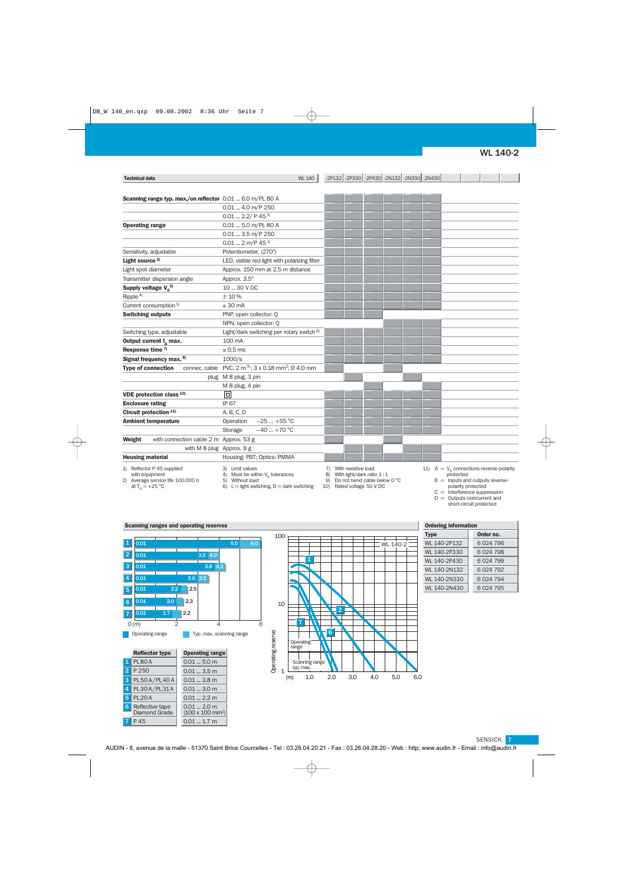## WL 140-2

| <b>Technical data</b>                                                                                        | <b>WL 140</b>                                                                                                            |                | -2P132 -2P330 -2P430 -2N132 -2N330 -2N430                                                                     |  |  |                                                                                              |                    |  |
|--------------------------------------------------------------------------------------------------------------|--------------------------------------------------------------------------------------------------------------------------|----------------|---------------------------------------------------------------------------------------------------------------|--|--|----------------------------------------------------------------------------------------------|--------------------|--|
|                                                                                                              |                                                                                                                          |                |                                                                                                               |  |  |                                                                                              |                    |  |
| Scanning range typ. max./on reflector 0.01  6.0 m/PL 80 A                                                    |                                                                                                                          |                |                                                                                                               |  |  |                                                                                              |                    |  |
|                                                                                                              | $0.01$ 4.0 m/P 250                                                                                                       |                |                                                                                                               |  |  |                                                                                              |                    |  |
|                                                                                                              | $0.01$ 2.2/ P 45 <sup>1</sup>                                                                                            |                |                                                                                                               |  |  |                                                                                              |                    |  |
| <b>Operating range</b>                                                                                       | 0.01  5.0 m/PL 80 A                                                                                                      |                |                                                                                                               |  |  |                                                                                              |                    |  |
|                                                                                                              | $0.01$ 3.5 m/P 250                                                                                                       |                |                                                                                                               |  |  |                                                                                              |                    |  |
|                                                                                                              | $0.01$ 2 m/P 45 <sup>1)</sup>                                                                                            |                |                                                                                                               |  |  |                                                                                              |                    |  |
| Sensitivity, adjustable                                                                                      | Potentiometer, (270°)                                                                                                    |                |                                                                                                               |  |  |                                                                                              |                    |  |
| Light source <sup>2)</sup>                                                                                   | LED, visible red light with polarizing filter                                                                            |                |                                                                                                               |  |  |                                                                                              |                    |  |
| Light spot diameter                                                                                          | Approx. 150 mm at 2.5 m distance                                                                                         |                |                                                                                                               |  |  |                                                                                              |                    |  |
| Transmitter dispersion angle                                                                                 | Approx. 3.5°                                                                                                             |                |                                                                                                               |  |  |                                                                                              |                    |  |
| Supply voltage $V_s^{3}$                                                                                     | 10  30 V DC                                                                                                              |                |                                                                                                               |  |  |                                                                                              |                    |  |
| Ripple $4$ )                                                                                                 | ±10%                                                                                                                     |                |                                                                                                               |  |  |                                                                                              |                    |  |
| Current consumption <sup>5)</sup>                                                                            | $\leq 30$ mA                                                                                                             |                |                                                                                                               |  |  |                                                                                              |                    |  |
| <b>Switching outputs</b>                                                                                     | PNP, open collector: Q                                                                                                   |                |                                                                                                               |  |  |                                                                                              |                    |  |
|                                                                                                              | NPN, open collector: Q                                                                                                   |                |                                                                                                               |  |  |                                                                                              |                    |  |
| Switching type, adjustable                                                                                   | Light/dark switching per rotary switch 6)                                                                                |                |                                                                                                               |  |  |                                                                                              |                    |  |
| Output current $I_{\alpha}$ max.                                                                             | 100 mA                                                                                                                   |                |                                                                                                               |  |  |                                                                                              |                    |  |
| Response time 7)                                                                                             | $\leq 0.5$ ms                                                                                                            |                |                                                                                                               |  |  |                                                                                              |                    |  |
| Signal frequency max. 8)                                                                                     | 1000/s                                                                                                                   |                |                                                                                                               |  |  |                                                                                              |                    |  |
| <b>Type of connection</b>                                                                                    | connec. cable PVC, $2 \text{ m}^9$ ; $3 \times 0.18 \text{ mm}^2$ , $\emptyset$ 4.0 mm                                   |                |                                                                                                               |  |  |                                                                                              |                    |  |
|                                                                                                              | plug M 8 plug, 3 pin                                                                                                     |                |                                                                                                               |  |  |                                                                                              |                    |  |
|                                                                                                              | M 8 plug, 4 pin                                                                                                          |                |                                                                                                               |  |  |                                                                                              |                    |  |
| VDE protection class 10)                                                                                     | 冋                                                                                                                        |                |                                                                                                               |  |  |                                                                                              |                    |  |
| <b>Enclosure rating</b>                                                                                      | <b>IP 67</b>                                                                                                             |                |                                                                                                               |  |  |                                                                                              |                    |  |
| Circuit protection <sup>11)</sup>                                                                            | A, B, C, D                                                                                                               |                |                                                                                                               |  |  |                                                                                              |                    |  |
| <b>Ambient temperature</b>                                                                                   | $-25+55$ °C<br>Operation                                                                                                 |                |                                                                                                               |  |  |                                                                                              |                    |  |
|                                                                                                              | $-40$ +70 °C<br>Storage                                                                                                  |                |                                                                                                               |  |  |                                                                                              |                    |  |
| with connection cable 2 m Approx. 53 g<br>Weight                                                             |                                                                                                                          |                |                                                                                                               |  |  |                                                                                              |                    |  |
| with M 8 plug Approx. 9 g                                                                                    |                                                                                                                          |                |                                                                                                               |  |  |                                                                                              |                    |  |
| <b>Housing material</b>                                                                                      | Housing: PBT; Optics: PMMA                                                                                               |                |                                                                                                               |  |  |                                                                                              |                    |  |
| 1) Reflector P 45 supplied<br>with equipment<br>2) Average service life 100.000 h<br>at $T_{\rm U} = +25$ °C | 3) Limit values<br>4) Must be within $V_c$ tolerances<br>5) Without load<br>6) L = light switching, $D =$ dark switching | 7)<br>8)<br>9) | With resistive load<br>With light/dark ratio 1:1<br>Do not bend cable below 0 °C<br>10) Rated voltage 50 V DC |  |  | 11) $A = V_s$ connections reverse-polarity<br>protected<br>$B =$ Inputs and outputs reverse- | polarity protected |  |

- C = Interference suppression  $D =$  Outputs overcurrent and
	- short-circuit protected

Ī



(100 x 100 mm2)

**6** Reflective tape | 0.01 ... 2.0 m

P 45 0.01 ... 1.7 m

Diamond Grade



| <b>orgering information</b> |           |  |  |  |  |  |
|-----------------------------|-----------|--|--|--|--|--|
| <b>Type</b>                 | Order no. |  |  |  |  |  |
| WL 140-2P132                | 6 024 796 |  |  |  |  |  |
| WI 140-2P330                | 6024798   |  |  |  |  |  |
| WI 140-2P430                | 6 024 799 |  |  |  |  |  |
| WI 140-2N132                | 6024792   |  |  |  |  |  |
| WL 140-2N330                | 6024794   |  |  |  |  |  |
| WL 140-2N430                | 6 024 795 |  |  |  |  |  |
|                             |           |  |  |  |  |  |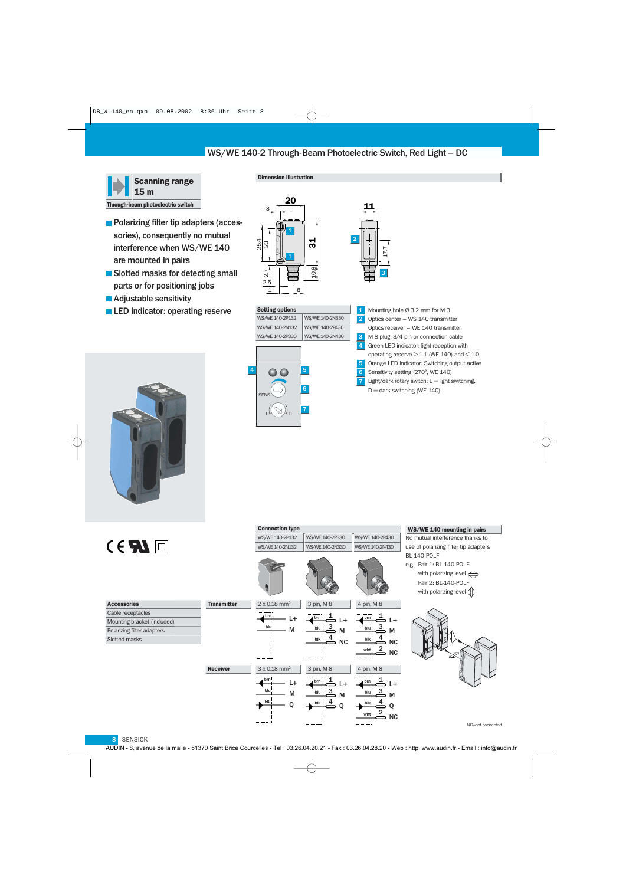## WS/WE 140-2 Through-Beam Photoelectric Switch, Red Light – DC



- **Polarizing filter tip adapters (acces**sories), consequently no mutual interference when WS/WE 140 are mounted in pairs
- Slotted masks for detecting small parts or for positioning jobs
- **Adjustable sensitivity**
- **LED** indicator: operating reserve









Connection type

 $\overline{W}$  MC AME 140-2P132

Mounting hole Ø 3.2 mm for M 3 Optics center – WS 140 transmitter Optics receiver – WE 140 transmitter M 8 plug, 3/4 pin or connection cable Green LED indicator: light reception with operating reserve  $> 1.1$  (WE 140) and  $< 1.0$ Orange LED indicator: Switching output active Sensitivity setting (270°, WE 140) Light/dark rotary switch:  $L =$  light switching,  $D =$  dark switching (WE 140) 4

WS/WE 140 mounting in pairs

 $N_{\text{e}}$  mutual interference

17.7

3

 $\mathcal{D}$ 

1 2

 $\overline{3}$ 

5

6 7

|                             |                    | WS/WE 140-2P132                     | WS/WE 140-2P330                    | WS/WE 140-2P430                                                                                            | No mutual interference thanks to                                                                                                 |
|-----------------------------|--------------------|-------------------------------------|------------------------------------|------------------------------------------------------------------------------------------------------------|----------------------------------------------------------------------------------------------------------------------------------|
| $C \in \mathbf{F}$          |                    | WS/WE 140-2N132                     | WS/WE 140-2N330                    | WS/WE 140-2N430                                                                                            | use of polarizing filter tip adapters                                                                                            |
|                             |                    |                                     |                                    |                                                                                                            | BL-140-POLF<br>e.g., Pair 1: BL-140-POLF<br>with polarizing level $\iff$<br>Pair 2: BL-140-POLF<br>with polarizing level $\oint$ |
| <b>Accessories</b>          | <b>Transmitter</b> | 2 x 0.18 mm <sup>2</sup>            | 3 pin, M 8                         | 4 pin, M 8                                                                                                 |                                                                                                                                  |
| Cable receptacles           |                    | brn                                 | phrn :                             |                                                                                                            |                                                                                                                                  |
| Mounting bracket (included) |                    | L+                                  | +ء ک                               | $\overline{\overset{\text{bm}}{\fbox{}}\xrightarrow{\text{bm}}}$ $\overset{\text{pm}}{\longrightarrow}$ L+ |                                                                                                                                  |
| Polarizing filter adapters  |                    | blu<br>M                            | blu j<br>M                         | $\frac{b\ln\left \frac{3}{2}\right }{b\ln\left \frac{3}{2}\right }$ M                                      |                                                                                                                                  |
| Slotted masks               |                    |                                     | blk<br>$\stackrel{4}{\implies}$ NC | blk j<br>NC<br>$\frac{w}{2}$<br><b>NC</b>                                                                  |                                                                                                                                  |
|                             | <b>Receiver</b>    | $3 \times 0.18$ mm <sup>2</sup>     | 3 pin, M 8                         | 4 pin, M 8                                                                                                 |                                                                                                                                  |
|                             |                    | brn !<br>L+<br>blu<br>M<br>blk<br>O | blu:<br>M<br>. blk j<br>0          | $\stackrel{1}{\Rightarrow}$ L+<br>brn!<br>blu<br>M<br>blk i<br>O<br>whtl<br>NC                             |                                                                                                                                  |

#### NC=not connected

8 SENSICK

AUDIN - 8, avenue de la malle - 51370 Saint Brice Courcelles - Tel : 03.26.04.20.21 - Fax : 03.26.04.28.20 - Web : http: www.audin.fr - Email : info@audin.fr

#### Dimension illustration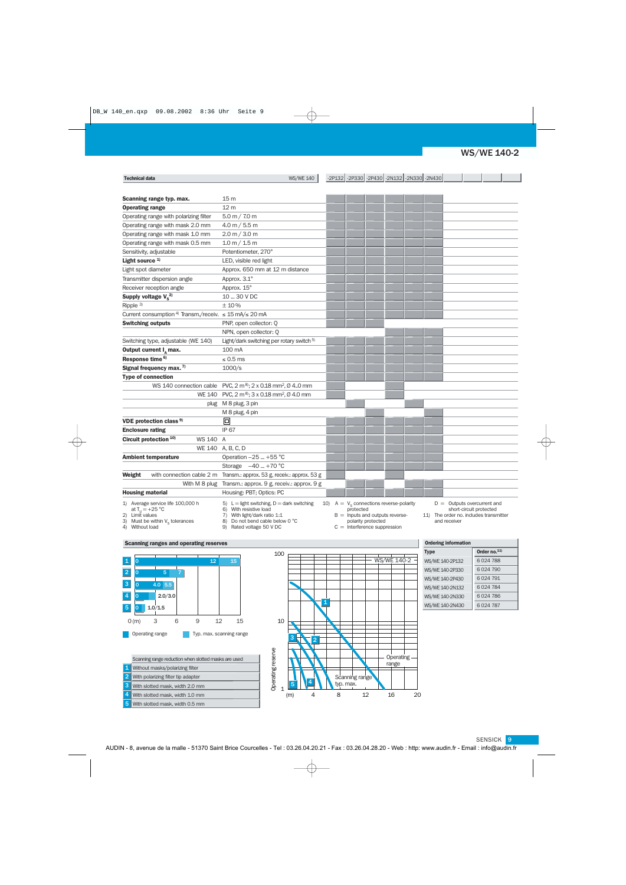## WS/WE 140-2

| <b>Technical data</b>                                                                                                                | <b>WS/WE 140</b>                                                                                                                                                                                                                     |   |                                                                   | -2P132 -2P330 -2P430 -2N132 -2N330 -2N430 |                             |                                                                                                    |  |
|--------------------------------------------------------------------------------------------------------------------------------------|--------------------------------------------------------------------------------------------------------------------------------------------------------------------------------------------------------------------------------------|---|-------------------------------------------------------------------|-------------------------------------------|-----------------------------|----------------------------------------------------------------------------------------------------|--|
| Scanning range typ. max.                                                                                                             | 15 m                                                                                                                                                                                                                                 |   |                                                                   |                                           |                             |                                                                                                    |  |
| <b>Operating range</b>                                                                                                               | 12 m                                                                                                                                                                                                                                 |   |                                                                   |                                           |                             |                                                                                                    |  |
| Operating range with polarizing filter                                                                                               | 5.0 m / 7.0 m                                                                                                                                                                                                                        |   |                                                                   |                                           |                             |                                                                                                    |  |
| Operating range with mask 2.0 mm                                                                                                     | 4.0 m / 5.5 m                                                                                                                                                                                                                        |   |                                                                   |                                           |                             |                                                                                                    |  |
| Operating range with mask 1.0 mm                                                                                                     | 2.0 m / 3.0 m                                                                                                                                                                                                                        |   |                                                                   |                                           |                             |                                                                                                    |  |
| Operating range with mask 0.5 mm                                                                                                     | 1.0 m / 1.5 m                                                                                                                                                                                                                        |   |                                                                   |                                           |                             |                                                                                                    |  |
| Sensitivity, adjustable                                                                                                              | Potentiometer, 270°                                                                                                                                                                                                                  |   |                                                                   |                                           |                             |                                                                                                    |  |
| Light source <sup>1)</sup>                                                                                                           | LED, visible red light                                                                                                                                                                                                               |   |                                                                   |                                           |                             |                                                                                                    |  |
| Light spot diameter                                                                                                                  | Approx. 650 mm at 12 m distance                                                                                                                                                                                                      |   |                                                                   |                                           |                             |                                                                                                    |  |
| Transmitter dispersion angle                                                                                                         | Approx. 3.1°                                                                                                                                                                                                                         |   |                                                                   |                                           |                             |                                                                                                    |  |
| Receiver reception angle                                                                                                             | Approx. 15°                                                                                                                                                                                                                          |   |                                                                   |                                           |                             |                                                                                                    |  |
| Supply voltage $V_s^{2)}$                                                                                                            | 10  30 V DC                                                                                                                                                                                                                          |   |                                                                   |                                           |                             |                                                                                                    |  |
| Ripple 3)                                                                                                                            | ±10%                                                                                                                                                                                                                                 |   |                                                                   |                                           |                             |                                                                                                    |  |
| Current consumption <sup>4)</sup> Transm./receiv. ≤ 15 mA/≤ 20 mA                                                                    |                                                                                                                                                                                                                                      |   |                                                                   |                                           |                             |                                                                                                    |  |
| <b>Switching outputs</b>                                                                                                             | PNP, open collector: Q                                                                                                                                                                                                               |   |                                                                   |                                           |                             |                                                                                                    |  |
|                                                                                                                                      | NPN, open collector: Q                                                                                                                                                                                                               |   |                                                                   |                                           |                             |                                                                                                    |  |
| Switching type, adjustable (WE 140)                                                                                                  | Light/dark switching per rotary switch 5)                                                                                                                                                                                            |   |                                                                   |                                           |                             |                                                                                                    |  |
| Output current $I_{\alpha}$ max.                                                                                                     | 100 mA                                                                                                                                                                                                                               |   |                                                                   |                                           |                             |                                                                                                    |  |
| Response time <sup>6)</sup>                                                                                                          | $\leq 0.5$ ms                                                                                                                                                                                                                        |   |                                                                   |                                           |                             |                                                                                                    |  |
| Signal frequency max. 7)                                                                                                             | 1000/s                                                                                                                                                                                                                               |   |                                                                   |                                           |                             |                                                                                                    |  |
| <b>Type of connection</b>                                                                                                            |                                                                                                                                                                                                                                      |   |                                                                   |                                           |                             |                                                                                                    |  |
|                                                                                                                                      | WS 140 connection cable PVC, $2 \text{ m}^8$ ; $2 \times 0.18 \text{ mm}^2$ , $\emptyset$ 4.0 mm                                                                                                                                     |   |                                                                   |                                           |                             |                                                                                                    |  |
|                                                                                                                                      | WE 140 PVC, 2 m <sup>8</sup> ; 3 x 0.18 mm <sup>2</sup> , Ø 4.0 mm                                                                                                                                                                   |   |                                                                   |                                           |                             |                                                                                                    |  |
|                                                                                                                                      | plug M 8 plug, 3 pin                                                                                                                                                                                                                 |   |                                                                   |                                           |                             |                                                                                                    |  |
| VDE protection class <sup>9)</sup>                                                                                                   | M 8 plug, 4 pin<br>$\Box$                                                                                                                                                                                                            |   |                                                                   |                                           |                             |                                                                                                    |  |
| <b>Enclosure rating</b>                                                                                                              | <b>IP 67</b>                                                                                                                                                                                                                         |   |                                                                   |                                           |                             |                                                                                                    |  |
| Circuit protection 10)<br>WS 140 A                                                                                                   |                                                                                                                                                                                                                                      |   |                                                                   |                                           |                             |                                                                                                    |  |
|                                                                                                                                      | WE 140 A, B, C, D                                                                                                                                                                                                                    |   |                                                                   |                                           |                             |                                                                                                    |  |
| <b>Ambient temperature</b>                                                                                                           | Operation $-25$ +55 °C                                                                                                                                                                                                               |   |                                                                   |                                           |                             |                                                                                                    |  |
|                                                                                                                                      | Storage $-40$ +70 °C                                                                                                                                                                                                                 |   |                                                                   |                                           |                             |                                                                                                    |  |
| Weight                                                                                                                               | with connection cable 2 m Transm.: approx. 53 g, receiv.: approx. 53 g                                                                                                                                                               |   |                                                                   |                                           |                             |                                                                                                    |  |
| With M 8 plug                                                                                                                        | Transm.: approx. 9 g, receiv.: approx. 9 g                                                                                                                                                                                           |   |                                                                   |                                           |                             |                                                                                                    |  |
| <b>Housing material</b>                                                                                                              | Housing: PBT; Optics: PC                                                                                                                                                                                                             |   |                                                                   |                                           |                             |                                                                                                    |  |
| 1) Average service life 100,000 h<br>at $T_{U} = +25 °C$<br>2) Limit values<br>3) Must be within $V_s$ tolerances<br>4) Without load | 5) L = light switching, D = dark switching $10$ A = V <sub>s</sub> connections reverse-polarity<br>With resistive load<br>6)<br>With light/dark ratio 1:1<br>7)<br>Do not bend cable below 0 °C<br>8)<br>9)<br>Rated voltage 50 V DC |   | protected<br>polarity protected<br>$C =$ Interference suppression | $B =$ Inputs and outputs reverse-         | and receiver                | $D =$ Outputs overcurrent and<br>short-circuit protected<br>11) The order no. includes transmitter |  |
| <b>Scanning ranges and operating reserves</b>                                                                                        |                                                                                                                                                                                                                                      |   |                                                                   |                                           | <b>Ordering information</b> |                                                                                                    |  |
|                                                                                                                                      | 100                                                                                                                                                                                                                                  |   |                                                                   |                                           | <b>Type</b>                 | Order $no.11$                                                                                      |  |
| 1<br>12<br>$\mathbf 0$                                                                                                               | 15                                                                                                                                                                                                                                   |   |                                                                   | WS/WE 140-2                               | WS/WE 140-2P132             | 6 0 24 7 88                                                                                        |  |
| $ 2\rangle$<br>5 <sub>5</sub>                                                                                                        |                                                                                                                                                                                                                                      |   |                                                                   |                                           | WS/WE 140-2P330             | 6 0 24 7 90                                                                                        |  |
| 3<br>$4.0$ 5.5<br>$\mathbf{0}$                                                                                                       |                                                                                                                                                                                                                                      |   |                                                                   |                                           | WS/WE 140-2P430             | 6 0 24 7 9 1                                                                                       |  |
| 2.0/3.0                                                                                                                              |                                                                                                                                                                                                                                      |   |                                                                   |                                           | WS/WE 140-2N132             | 6 0 24 7 84                                                                                        |  |
| 4                                                                                                                                    |                                                                                                                                                                                                                                      | 1 |                                                                   |                                           | WS/WE 140-2N330             | 6 0 24 7 86<br>6 0 24 787                                                                          |  |
| $\sqrt{5}$<br>1.0/1.5<br>n                                                                                                           |                                                                                                                                                                                                                                      |   |                                                                   |                                           | WS/WE 140-2N430             |                                                                                                    |  |
| 3<br>6<br>9<br>12<br>O(m)                                                                                                            | 15<br>10                                                                                                                                                                                                                             |   |                                                                   |                                           |                             |                                                                                                    |  |
|                                                                                                                                      |                                                                                                                                                                                                                                      |   |                                                                   |                                           |                             |                                                                                                    |  |
| Operating range                                                                                                                      | Typ. max. scanning range<br>3<br>$\overline{\mathbf{2}}$                                                                                                                                                                             |   |                                                                   |                                           |                             |                                                                                                    |  |
| Scanning range reduction when slotted masks are used                                                                                 |                                                                                                                                                                                                                                      |   |                                                                   | Operating<br>range                        |                             |                                                                                                    |  |
| Without masks/polarizing filter                                                                                                      | Operating reserve                                                                                                                                                                                                                    |   |                                                                   |                                           |                             |                                                                                                    |  |
| With polarizing filter tip adapter                                                                                                   | Δ                                                                                                                                                                                                                                    |   | Scanning range                                                    |                                           |                             |                                                                                                    |  |
| With slotted mask, width 2.0 mm                                                                                                      |                                                                                                                                                                                                                                      |   | typ. max.                                                         |                                           |                             |                                                                                                    |  |
|                                                                                                                                      |                                                                                                                                                                                                                                      |   |                                                                   | 1C                                        |                             |                                                                                                    |  |

**2** With polarizing filter tip adapter **3** With slotted mask, width 2.0 mm 4 With slotted mask, width 1.0 mm 5 With slotted mask, width 0.5 mm Without masks/polarizing filter Scanning range reduction when slotted masks are used

SENSICK 9

AUDIN - 8, avenue de la malle - 51370 Saint Brice Courcelles - Tel : 03.26.04.20.21 - Fax : 03.26.04.28.20 - Web : http: www.audin.fr - Email : info@audin.fr

(m) 4 8 12 16 20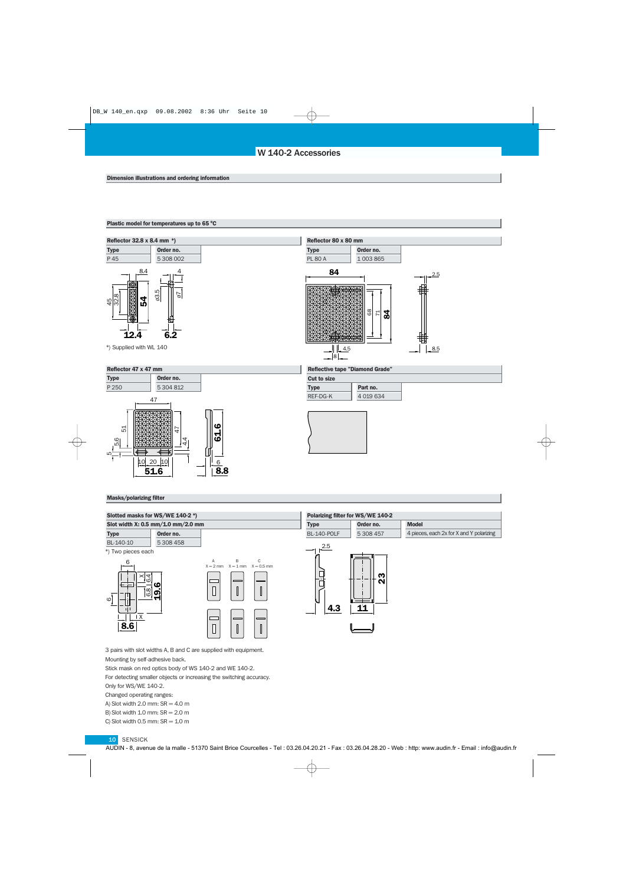## W 140-2 Accessories

#### Plastic model for temperatures up to 65 °C



#### Masks/polarizing filter



Stick mask on red optics body of WS 140-2 and WE 140-2.

For detecting smaller objects or increasing the switching accuracy.

Only for WS/WE 140-2.

Changed operating ranges:

A) Slot width 2.0 mm:  $SR = 4.0$  m

B) Slot width  $1.0$  mm:  $SR = 2.0$  m

C) Slot width  $0.5$  mm:  $SR = 1.0$  m

#### 10 SENSICK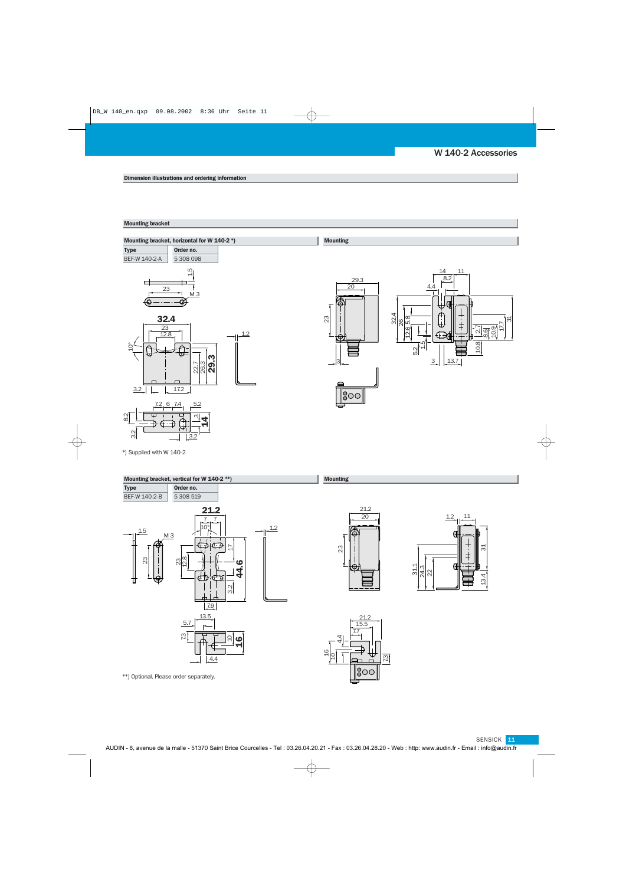17.7

à

## Dimension illustrations and ordering information

#### Mounting bracket



\*) Supplied with W 140-2



### SENSICK <mark>11</mark>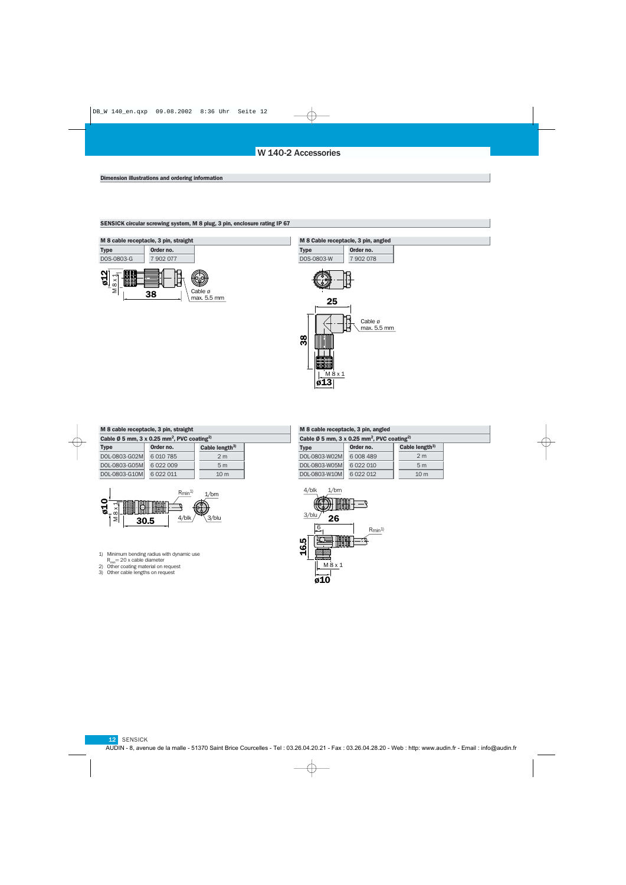#### SENSICK circular screwing system, M 8 plug, 3 pin, enclosure rating IP 67



|                                                           | M 8 Cable receptacle, 3 pin, angled |  |
|-----------------------------------------------------------|-------------------------------------|--|
| <b>Type</b><br>DOS-0803-W                                 | Order no.<br>7 902 078              |  |
|                                                           |                                     |  |
| 25<br>38<br>mmm<br>00000<br>innmnn<br>innmnn<br>M8x1<br>Ø | Cable ø<br>max. 5.5 mm              |  |

| M 8 cable receptacle, 3 pin, straight                                        |               |                  | M 8 cable receptacle, 3 pin, angled             |               |               |  |
|------------------------------------------------------------------------------|---------------|------------------|-------------------------------------------------|---------------|---------------|--|
| Cable $\emptyset$ 5 mm, 3 x 0.25 mm <sup>2</sup> , PVC coating <sup>2)</sup> |               |                  | Cable Ø 5 mm, 3 x 0.25 mm <sup>2</sup> , PVC of |               |               |  |
| <b>Type</b>                                                                  | Order no.     | Cable length $3$ |                                                 | <b>Type</b>   | Order no.     |  |
| DOL-0803-G02M                                                                | 6 0 10 7 8 5  | 2 <sub>m</sub>   |                                                 | DOL-0803-W02M | 6 0 0 4 4 8 9 |  |
| DOL-0803-G05M                                                                | 6022009       | 5 <sub>m</sub>   |                                                 | DOL-0803-W05M | 6 0 2 2 0 1 0 |  |
| DOL-0803-G10M                                                                | 6 0 2 2 0 1 1 | 10 <sub>m</sub>  |                                                 | DOL-0803-W10M | 6 0 2 2 0 1 2 |  |
|                                                                              |               |                  |                                                 |               |               |  |



1) Minimum bending radius with dynamic use

 $R_{min}$ = 20 x cable diameter

2) Other coating material on request

3) Other cable lengths on request

| M 8 cable receptacle, 3 pin, angled                                          |               |                  |  |  |  |
|------------------------------------------------------------------------------|---------------|------------------|--|--|--|
| Cable $\emptyset$ 5 mm, 3 x 0.25 mm <sup>2</sup> , PVC coating <sup>2)</sup> |               |                  |  |  |  |
| <b>Type</b>                                                                  | Order no.     | Cable length $3$ |  |  |  |
| DOL-0803-W02M                                                                | 6 0 0 8 4 8 9 | 2 m              |  |  |  |
| DOL-0803-W05M                                                                | 6 0 2 2 0 1 0 | 5 <sub>m</sub>   |  |  |  |
| DOL-0803-W10M                                                                | 6 0 2 2 0 1 2 | 10 <sub>m</sub>  |  |  |  |